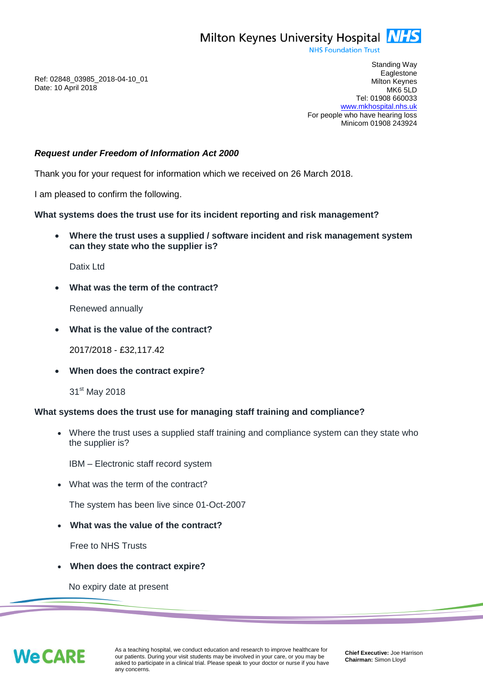Milton Keynes University Hospital **NHS** 

**NHS Foundation Trust** 

Ref: 02848\_03985\_2018-04-10\_01 Date: 10 April 2018

Standing Way **Eaglestone** Milton Keynes MK6 5LD Tel: 01908 660033 [www.mkhospital.nhs.uk](http://www.mkhospital.nhs.uk/) For people who have hearing loss Minicom 01908 243924

## *Request under Freedom of Information Act 2000*

Thank you for your request for information which we received on 26 March 2018.

I am pleased to confirm the following.

**What systems does the trust use for its incident reporting and risk management?**

 **Where the trust uses a supplied / software incident and risk management system can they state who the supplier is?**

Datix Ltd

**What was the term of the contract?**

Renewed annually

**What is the value of the contract?**

2017/2018 - £32,117.42

**When does the contract expire?**

31<sup>st</sup> May 2018

## **What systems does the trust use for managing staff training and compliance?**

 Where the trust uses a supplied staff training and compliance system can they state who the supplier is?

IBM – Electronic staff record system

What was the term of the contract?

The system has been live since 01-Oct-2007

**What was the value of the contract?**

Free to NHS Trusts

**When does the contract expire?**

No expiry date at present